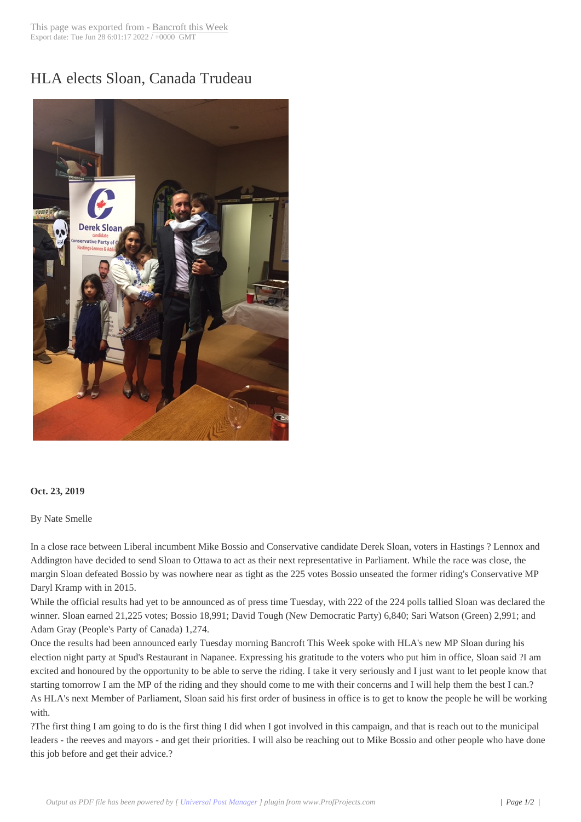## HLA elects Sloan, [Canada Trud](http://www.bancroftthisweek.com/?p=10098)eau



## **Oct. 23, 2019**

## By Nate Smelle

In a close race between Liberal incumbent Mike Bossio and Conservative candidate Derek Sloan, voters in Hastings ? Lennox and Addington have decided to send Sloan to Ottawa to act as their next representative in Parliament. While the race was close, the margin Sloan defeated Bossio by was nowhere near as tight as the 225 votes Bossio unseated the former riding's Conservative MP Daryl Kramp with in 2015.

While the official results had yet to be announced as of press time Tuesday, with 222 of the 224 polls tallied Sloan was declared the winner. Sloan earned 21,225 votes; Bossio 18,991; David Tough (New Democratic Party) 6,840; Sari Watson (Green) 2,991; and Adam Gray (People's Party of Canada) 1,274.

Once the results had been announced early Tuesday morning Bancroft This Week spoke with HLA's new MP Sloan during his election night party at Spud's Restaurant in Napanee. Expressing his gratitude to the voters who put him in office, Sloan said ?I am excited and honoured by the opportunity to be able to serve the riding. I take it very seriously and I just want to let people know that starting tomorrow I am the MP of the riding and they should come to me with their concerns and I will help them the best I can.? As HLA's next Member of Parliament, Sloan said his first order of business in office is to get to know the people he will be working with.

?The first thing I am going to do is the first thing I did when I got involved in this campaign, and that is reach out to the municipal leaders - the reeves and mayors - and get their priorities. I will also be reaching out to Mike Bossio and other people who have done this job before and get their advice.?